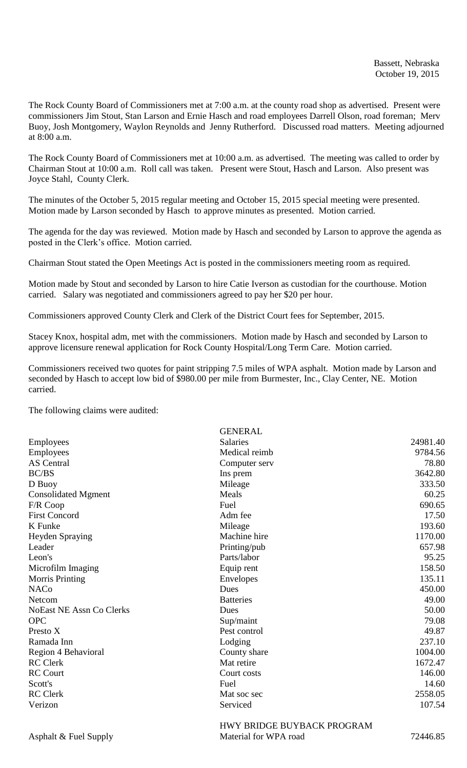The Rock County Board of Commissioners met at 7:00 a.m. at the county road shop as advertised. Present were commissioners Jim Stout, Stan Larson and Ernie Hasch and road employees Darrell Olson, road foreman; Merv Buoy, Josh Montgomery, Waylon Reynolds and Jenny Rutherford. Discussed road matters. Meeting adjourned at 8:00 a.m.

The Rock County Board of Commissioners met at 10:00 a.m. as advertised. The meeting was called to order by Chairman Stout at 10:00 a.m. Roll call was taken. Present were Stout, Hasch and Larson. Also present was Joyce Stahl, County Clerk.

The minutes of the October 5, 2015 regular meeting and October 15, 2015 special meeting were presented. Motion made by Larson seconded by Hasch to approve minutes as presented. Motion carried.

The agenda for the day was reviewed. Motion made by Hasch and seconded by Larson to approve the agenda as posted in the Clerk's office. Motion carried.

Chairman Stout stated the Open Meetings Act is posted in the commissioners meeting room as required.

Motion made by Stout and seconded by Larson to hire Catie Iverson as custodian for the courthouse. Motion carried. Salary was negotiated and commissioners agreed to pay her \$20 per hour.

Commissioners approved County Clerk and Clerk of the District Court fees for September, 2015.

Stacey Knox, hospital adm, met with the commissioners. Motion made by Hasch and seconded by Larson to approve licensure renewal application for Rock County Hospital/Long Term Care. Motion carried.

Commissioners received two quotes for paint stripping 7.5 miles of WPA asphalt. Motion made by Larson and seconded by Hasch to accept low bid of \$980.00 per mile from Burmester, Inc., Clay Center, NE. Motion carried.

The following claims were audited:

|                                 | <b>GENERAL</b>                        |          |
|---------------------------------|---------------------------------------|----------|
| Employees                       | <b>Salaries</b>                       | 24981.40 |
| Employees                       | Medical reimb                         | 9784.56  |
| <b>AS</b> Central               | Computer serv                         | 78.80    |
| BC/BS                           | Ins prem                              | 3642.80  |
| D Buoy                          | Mileage                               | 333.50   |
| <b>Consolidated Mgment</b>      | Meals                                 | 60.25    |
| F/R Coop                        | Fuel                                  | 690.65   |
| <b>First Concord</b>            | Adm fee                               | 17.50    |
| K Funke                         | Mileage                               | 193.60   |
| <b>Heyden Spraying</b>          | Machine hire                          | 1170.00  |
| Leader                          | Printing/pub                          | 657.98   |
| Leon's                          | Parts/labor                           | 95.25    |
| Microfilm Imaging               | Equip rent                            | 158.50   |
| <b>Morris Printing</b>          | Envelopes                             | 135.11   |
| <b>NACo</b>                     | Dues                                  | 450.00   |
| Netcom                          | <b>Batteries</b>                      | 49.00    |
| <b>NoEast NE Assn Co Clerks</b> | Dues                                  | 50.00    |
| <b>OPC</b>                      | Sup/maint                             | 79.08    |
| Presto X                        | Pest control                          | 49.87    |
| Ramada Inn                      | Lodging                               | 237.10   |
| Region 4 Behavioral             | County share                          | 1004.00  |
| <b>RC</b> Clerk                 | Mat retire                            | 1672.47  |
| <b>RC</b> Court                 | Court costs                           | 146.00   |
| Scott's                         | Fuel                                  | 14.60    |
| <b>RC</b> Clerk                 | Mat soc sec                           | 2558.05  |
| Verizon                         | Serviced                              | 107.54   |
|                                 | <b>LIW'V DDIDCE DHVD ACV DDOCD AM</b> |          |

HWY BRIDGE BUYBACK PROGRAM Asphalt & Fuel Supply Material for WPA road 72446.85